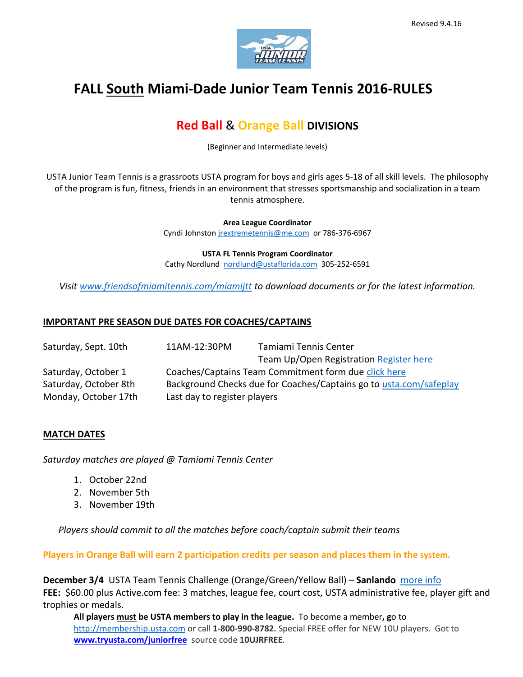

# **FALL South Miami-Dade Junior Team Tennis 2016-RULES**

## **Red Ball** & **Orange Ball DIVISIONS**

(Beginner and Intermediate levels)

USTA Junior Team Tennis is a grassroots USTA program for boys and girls ages 5-18 of all skill levels. The philosophy of the program is fun, fitness, friends in an environment that stresses sportsmanship and socialization in a team tennis atmosphere.

> **Area League Coordinator**  Cyndi Johnsto[n jrextremetennis@me.com](mailto:jrextremetennis@me.com) or 786-376-6967

> **USTA FL Tennis Program Coordinator** Cathy Nordlund [nordlund@ustaflorida.com](mailto:nordlund@ustaflorida.com) 305-252-6591

*Visit [www.friendsofmiamitennis.com/miamijtt](http://www.friendsofmiamitennis.com/miamijtt) to download documents or for the latest information.*

#### **IMPORTANT PRE SEASON DUE DATES FOR COACHES/CAPTAINS**

| Saturday, Sept. 10th  | 11AM-12:30PM                                                       | Tamiami Tennis Center                   |
|-----------------------|--------------------------------------------------------------------|-----------------------------------------|
|                       |                                                                    | Team Up/Open Registration Register here |
| Saturday, October 1   | Coaches/Captains Team Commitment form due click here               |                                         |
| Saturday, October 8th | Background Checks due for Coaches/Captains go to usta.com/safeplay |                                         |
| Monday, October 17th  | Last day to register players                                       |                                         |

#### **MATCH DATES**

*Saturday matches are played @ Tamiami Tennis Center* 

- 1. October 22nd
- 2. November 5th
- 3. November 19th

*Players should commit to all the matches before coach/captain submit their teams*

**Players in Orange Ball will earn 2 participation credits per season and places them in the system.**

**December 3/4** USTA Team Tennis Challenge (Orange/Green/Yellow Ball) – **Sanlando** [more info](https://www.ustaflorida.com/event/usta-florida-team-tennis-challenge/) **FEE:** \$60.00 plus Active.com fee: 3 matches, league fee, court cost, USTA administrative fee, player gift and trophies or medals.

**All players must be USTA members to play in the league.** To become a member**, g**o to [http://membership.usta.com](http://membership.usta.com/) or call **1-800-990-8782.** Special FREE offer for NEW 10U players. Got to **[www.tryusta.com/juniorfree](http://www.tryusta.com/juniorfree)** source code **10UJRFREE**.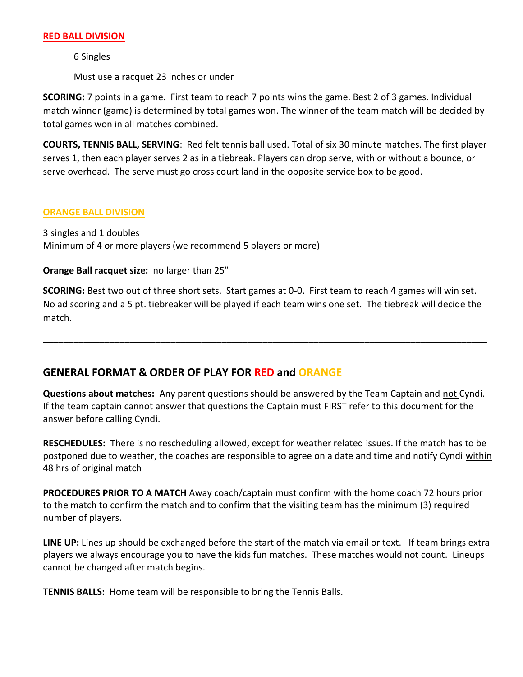#### **RED BALL DIVISION**

6 Singles

Must use a racquet 23 inches or under

**SCORING:** 7 points in a game. First team to reach 7 points wins the game. Best 2 of 3 games. Individual match winner (game) is determined by total games won. The winner of the team match will be decided by total games won in all matches combined.

**COURTS, TENNIS BALL, SERVING**: Red felt tennis ball used. Total of six 30 minute matches. The first player serves 1, then each player serves 2 as in a tiebreak. Players can drop serve, with or without a bounce, or serve overhead. The serve must go cross court land in the opposite service box to be good.

#### **ORANGE BALL DIVISION**

3 singles and 1 doubles Minimum of 4 or more players (we recommend 5 players or more)

#### **Orange Ball racquet size:** no larger than 25"

**SCORING:** Best two out of three short sets. Start games at 0-0. First team to reach 4 games will win set. No ad scoring and a 5 pt. tiebreaker will be played if each team wins one set. The tiebreak will decide the match.

**\_\_\_\_\_\_\_\_\_\_\_\_\_\_\_\_\_\_\_\_\_\_\_\_\_\_\_\_\_\_\_\_\_\_\_\_\_\_\_\_\_\_\_\_\_\_\_\_\_\_\_\_\_\_\_\_\_\_\_\_\_\_\_\_\_\_\_\_\_\_\_\_\_\_\_\_\_\_\_\_\_\_\_\_\_\_\_**

### **GENERAL FORMAT & ORDER OF PLAY FOR RED and ORANGE**

**Questions about matches:** Any parent questions should be answered by the Team Captain and not Cyndi. If the team captain cannot answer that questions the Captain must FIRST refer to this document for the answer before calling Cyndi.

**RESCHEDULES:** There is no rescheduling allowed, except for weather related issues. If the match has to be postponed due to weather, the coaches are responsible to agree on a date and time and notify Cyndi within 48 hrs of original match

**PROCEDURES PRIOR TO A MATCH** Away coach/captain must confirm with the home coach 72 hours prior to the match to confirm the match and to confirm that the visiting team has the minimum (3) required number of players.

**LINE UP:** Lines up should be exchanged before the start of the match via email or text. If team brings extra players we always encourage you to have the kids fun matches. These matches would not count. Lineups cannot be changed after match begins.

**TENNIS BALLS:** Home team will be responsible to bring the Tennis Balls.